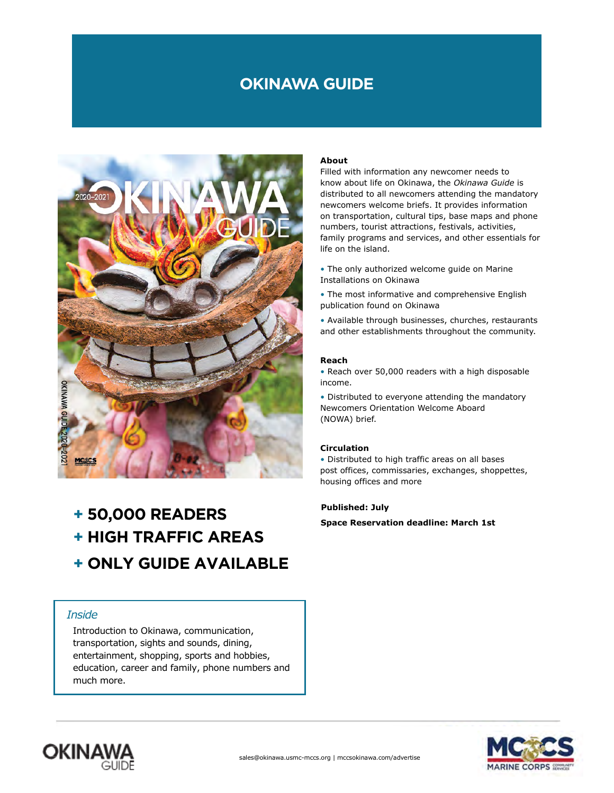# **OKINAWA GUIDE**



# **+ 50,000 READERS**

- **+ HIGH TRAFFIC AREAS**
- **+ ONLY GUIDE AVAILABLE**

## *Inside*

Introduction to Okinawa, communication, transportation, sights and sounds, dining, entertainment, shopping, sports and hobbies, education, career and family, phone numbers and much more.

### **About**

Filled with information any newcomer needs to know about life on Okinawa, the *Okinawa Guide* is distributed to all newcomers attending the mandatory newcomers welcome briefs. It provides information on transportation, cultural tips, base maps and phone numbers, tourist attractions, festivals, activities, family programs and services, and other essentials for life on the island.

- The only authorized welcome guide on Marine Installations on Okinawa
- The most informative and comprehensive English publication found on Okinawa

• Available through businesses, churches, restaurants and other establishments throughout the community.

#### **Reach**

• Reach over 50,000 readers with a high disposable income.

• Distributed to everyone attending the mandatory Newcomers Orientation Welcome Aboard (NOWA) brief.

#### **Circulation**

• Distributed to high traffic areas on all bases post offices, commissaries, exchanges, shoppettes, housing offices and more

#### **Published: July**

**Space Reservation deadline: March 1st**